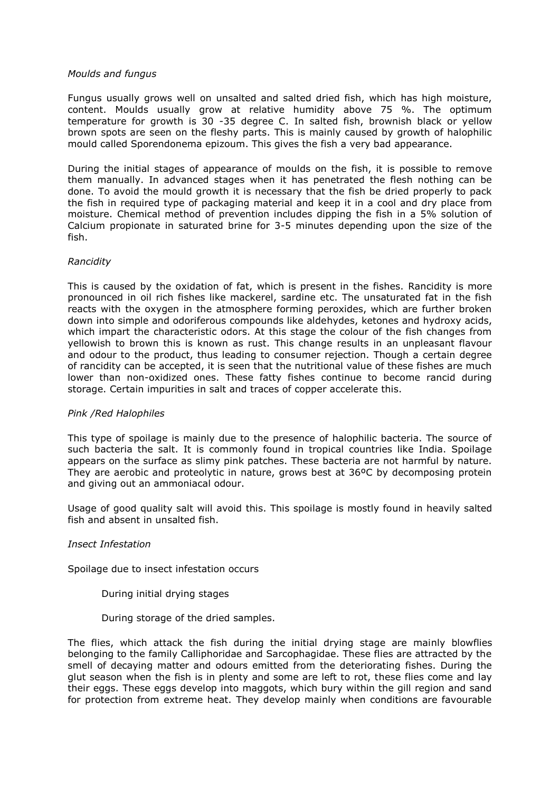### *Moulds and fungus*

Fungus usually grows well on unsalted and salted dried fish, which has high moisture, content. Moulds usually grow at relative humidity above 75 %. The optimum temperature for growth is 30 -35 degree C. In salted fish, brownish black or yellow brown spots are seen on the fleshy parts. This is mainly caused by growth of halophilic mould called Sporendonema epizoum. This gives the fish a very bad appearance.

During the initial stages of appearance of moulds on the fish, it is possible to remove them manually. In advanced stages when it has penetrated the flesh nothing can be done. To avoid the mould growth it is necessary that the fish be dried properly to pack the fish in required type of packaging material and keep it in a cool and dry place from moisture. Chemical method of prevention includes dipping the fish in a 5% solution of Calcium propionate in saturated brine for 3-5 minutes depending upon the size of the fish.

## *Rancidity*

This is caused by the oxidation of fat, which is present in the fishes. Rancidity is more pronounced in oil rich fishes like mackerel, sardine etc. The unsaturated fat in the fish reacts with the oxygen in the atmosphere forming peroxides, which are further broken down into simple and odoriferous compounds like aldehydes, ketones and hydroxy acids, which impart the characteristic odors. At this stage the colour of the fish changes from yellowish to brown this is known as rust. This change results in an unpleasant flavour and odour to the product, thus leading to consumer rejection. Though a certain degree of rancidity can be accepted, it is seen that the nutritional value of these fishes are much lower than non-oxidized ones. These fatty fishes continue to become rancid during storage. Certain impurities in salt and traces of copper accelerate this.

## *Pink /Red Halophiles*

This type of spoilage is mainly due to the presence of halophilic bacteria. The source of such bacteria the salt. It is commonly found in tropical countries like India. Spoilage appears on the surface as slimy pink patches. These bacteria are not harmful by nature. They are aerobic and proteolytic in nature, grows best at 36ºC by decomposing protein and giving out an ammoniacal odour.

Usage of good quality salt will avoid this. This spoilage is mostly found in heavily salted fish and absent in unsalted fish.

## *Insect Infestation*

Spoilage due to insect infestation occurs

- During initial drying stages
- During storage of the dried samples.

The flies, which attack the fish during the initial drying stage are mainly blowflies belonging to the family Calliphoridae and Sarcophagidae. These flies are attracted by the smell of decaying matter and odours emitted from the deteriorating fishes. During the glut season when the fish is in plenty and some are left to rot, these flies come and lay their eggs. These eggs develop into maggots, which bury within the gill region and sand for protection from extreme heat. They develop mainly when conditions are favourable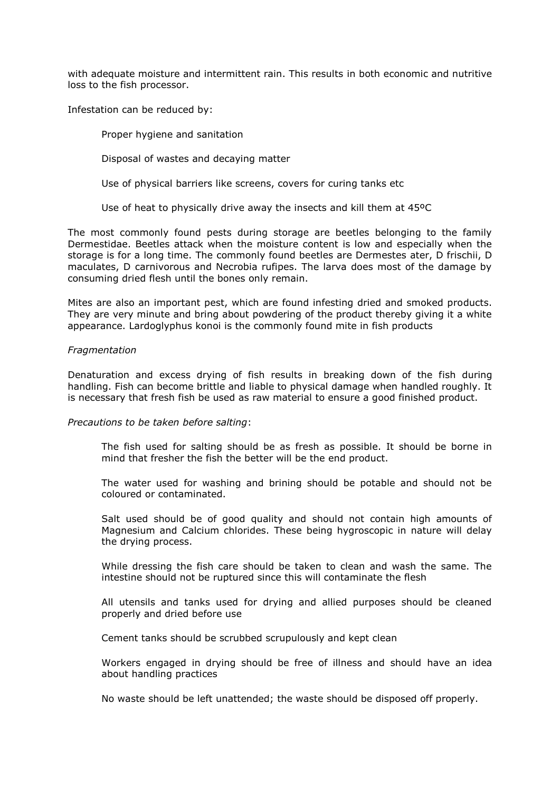with adequate moisture and intermittent rain. This results in both economic and nutritive loss to the fish processor.

Infestation can be reduced by:

Proper hygiene and sanitation

Disposal of wastes and decaying matter

Use of physical barriers like screens, covers for curing tanks etc

Use of heat to physically drive away the insects and kill them at 45ºC

The most commonly found pests during storage are beetles belonging to the family Dermestidae. Beetles attack when the moisture content is low and especially when the storage is for a long time. The commonly found beetles are Dermestes ater, D frischii, D maculates, D carnivorous and Necrobia rufipes. The larva does most of the damage by consuming dried flesh until the bones only remain.

Mites are also an important pest, which are found infesting dried and smoked products. They are very minute and bring about powdering of the product thereby giving it a white appearance. Lardoglyphus konoi is the commonly found mite in fish products

### *Fragmentation*

Denaturation and excess drying of fish results in breaking down of the fish during handling. Fish can become brittle and liable to physical damage when handled roughly. It is necessary that fresh fish be used as raw material to ensure a good finished product.

#### *Precautions to be taken before salting*:

The fish used for salting should be as fresh as possible. It should be borne in mind that fresher the fish the better will be the end product.

The water used for washing and brining should be potable and should not be coloured or contaminated.

Salt used should be of good quality and should not contain high amounts of Magnesium and Calcium chlorides. These being hygroscopic in nature will delay the drying process.

While dressing the fish care should be taken to clean and wash the same. The intestine should not be ruptured since this will contaminate the flesh

All utensils and tanks used for drying and allied purposes should be cleaned properly and dried before use

Cement tanks should be scrubbed scrupulously and kept clean

Workers engaged in drying should be free of illness and should have an idea about handling practices

No waste should be left unattended; the waste should be disposed off properly.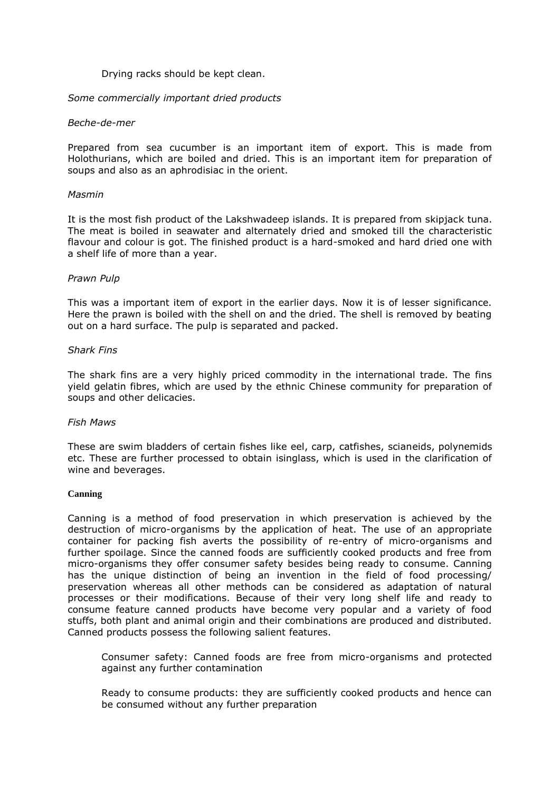#### Drying racks should be kept clean.

### *Some commercially important dried products*

#### *Beche-de-mer*

Prepared from sea cucumber is an important item of export. This is made from Holothurians, which are boiled and dried. This is an important item for preparation of soups and also as an aphrodisiac in the orient.

#### *Masmin*

It is the most fish product of the Lakshwadeep islands. It is prepared from skipjack tuna. The meat is boiled in seawater and alternately dried and smoked till the characteristic flavour and colour is got. The finished product is a hard-smoked and hard dried one with a shelf life of more than a year.

### *Prawn Pulp*

This was a important item of export in the earlier days. Now it is of lesser significance. Here the prawn is boiled with the shell on and the dried. The shell is removed by beating out on a hard surface. The pulp is separated and packed.

### *Shark Fins*

The shark fins are a very highly priced commodity in the international trade. The fins yield gelatin fibres, which are used by the ethnic Chinese community for preparation of soups and other delicacies.

#### *Fish Maws*

These are swim bladders of certain fishes like eel, carp, catfishes, scianeids, polynemids etc. These are further processed to obtain isinglass, which is used in the clarification of wine and beverages.

#### **Canning**

Canning is a method of food preservation in which preservation is achieved by the destruction of micro-organisms by the application of heat. The use of an appropriate container for packing fish averts the possibility of re-entry of micro-organisms and further spoilage. Since the canned foods are sufficiently cooked products and free from micro-organisms they offer consumer safety besides being ready to consume. Canning has the unique distinction of being an invention in the field of food processing/ preservation whereas all other methods can be considered as adaptation of natural processes or their modifications. Because of their very long shelf life and ready to consume feature canned products have become very popular and a variety of food stuffs, both plant and animal origin and their combinations are produced and distributed. Canned products possess the following salient features.

Consumer safety: Canned foods are free from micro-organisms and protected against any further contamination

Ready to consume products: they are sufficiently cooked products and hence can be consumed without any further preparation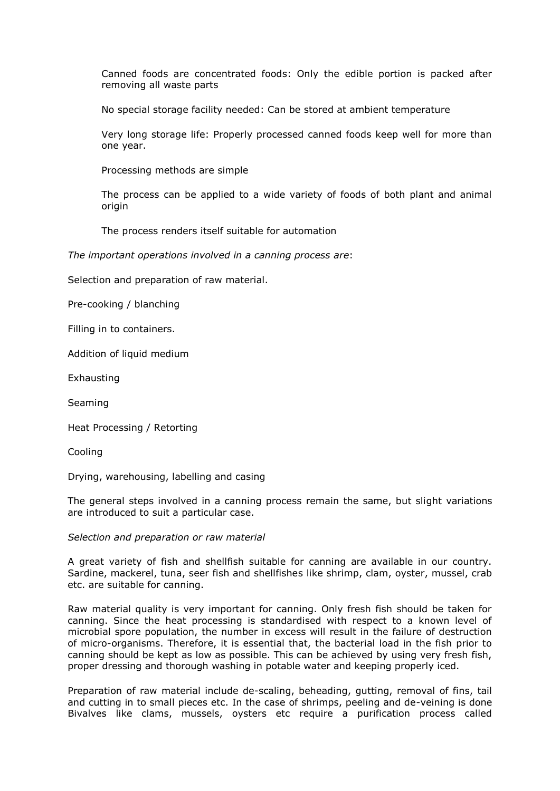Canned foods are concentrated foods: Only the edible portion is packed after removing all waste parts

No special storage facility needed: Can be stored at ambient temperature

Very long storage life: Properly processed canned foods keep well for more than one year.

Processing methods are simple

The process can be applied to a wide variety of foods of both plant and animal origin

The process renders itself suitable for automation

*The important operations involved in a canning process are*:

Selection and preparation of raw material.

Pre-cooking / blanching

Filling in to containers.

Addition of liquid medium

Exhausting

Seaming

Heat Processing / Retorting

Cooling

Drying, warehousing, labelling and casing

The general steps involved in a canning process remain the same, but slight variations are introduced to suit a particular case.

*Selection and preparation or raw material* 

A great variety of fish and shellfish suitable for canning are available in our country. Sardine, mackerel, tuna, seer fish and shellfishes like shrimp, clam, oyster, mussel, crab etc. are suitable for canning.

Raw material quality is very important for canning. Only fresh fish should be taken for canning. Since the heat processing is standardised with respect to a known level of microbial spore population, the number in excess will result in the failure of destruction of micro-organisms. Therefore, it is essential that, the bacterial load in the fish prior to canning should be kept as low as possible. This can be achieved by using very fresh fish, proper dressing and thorough washing in potable water and keeping properly iced.

Preparation of raw material include de-scaling, beheading, gutting, removal of fins, tail and cutting in to small pieces etc. In the case of shrimps, peeling and de-veining is done Bivalves like clams, mussels, oysters etc require a purification process called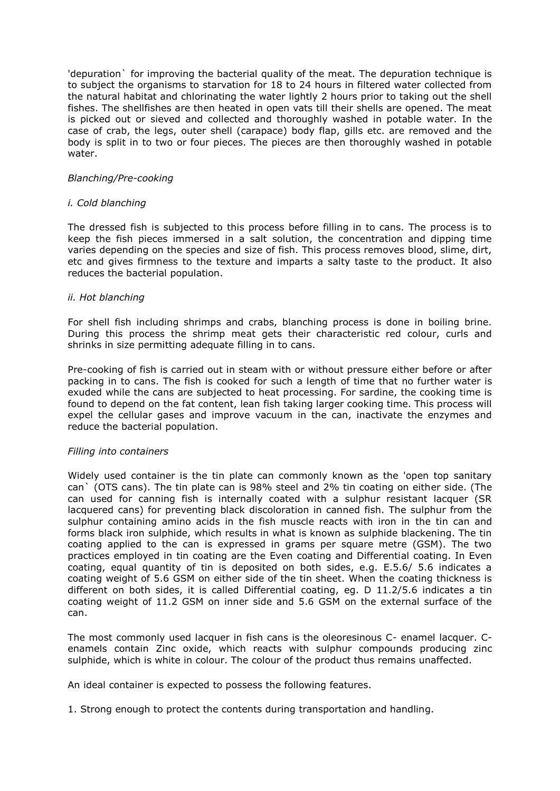'depuration` for improving the bacterial quality of the meat. The depuration technique is to subject the organisms to starvation for 18 to 24 hours in filtered water collected from the natural habitat and chlorinating the water lightly 2 hours prior to taking out the shell fishes. The shellfishes are then heated in open vats till their shells are opened. The meat is picked out or sieved and collected and thoroughly washed in potable water. In the case of crab, the legs, outer shell (carapace) body flap, gills etc. are removed and the body is split in to two or four pieces. The pieces are then thoroughly washed in potable water.

## *Blanching/Pre-cooking*

### *i. Cold blanching*

The dressed fish is subjected to this process before filling in to cans. The process is to keep the fish pieces immersed in a salt solution, the concentration and dipping time varies depending on the species and size of fish. This process removes blood, slime, dirt, etc and gives firmness to the texture and imparts a salty taste to the product. It also reduces the bacterial population.

### *ii. Hot blanching*

For shell fish including shrimps and crabs, blanching process is done in boiling brine. During this process the shrimp meat gets their characteristic red colour, curls and shrinks in size permitting adequate filling in to cans.

Pre-cooking of fish is carried out in steam with or without pressure either before or after packing in to cans. The fish is cooked for such a length of time that no further water is exuded while the cans are subjected to heat processing. For sardine, the cooking time is found to depend on the fat content, lean fish taking larger cooking time. This process will expel the cellular gases and improve vacuum in the can, inactivate the enzymes and reduce the bacterial population.

#### *Filling into containers*

Widely used container is the tin plate can commonly known as the 'open top sanitary can` (OTS cans). The tin plate can is 98% steel and 2% tin coating on either side. (The can used for canning fish is internally coated with a sulphur resistant lacquer (SR lacquered cans) for preventing black discoloration in canned fish. The sulphur from the sulphur containing amino acids in the fish muscle reacts with iron in the tin can and forms black iron sulphide, which results in what is known as sulphide blackening. The tin coating applied to the can is expressed in grams per square metre (GSM). The two practices employed in tin coating are the Even coating and Differential coating. In Even coating, equal quantity of tin is deposited on both sides, e.g. E.5.6/ 5.6 indicates a coating weight of 5.6 GSM on either side of the tin sheet. When the coating thickness is different on both sides, it is called Differential coating, eg. D 11.2/5.6 indicates a tin coating weight of 11.2 GSM on inner side and 5.6 GSM on the external surface of the can.

The most commonly used lacquer in fish cans is the oleoresinous C- enamel lacquer. Cenamels contain Zinc oxide, which reacts with sulphur compounds producing zinc sulphide, which is white in colour. The colour of the product thus remains unaffected.

An ideal container is expected to possess the following features.

1. Strong enough to protect the contents during transportation and handling.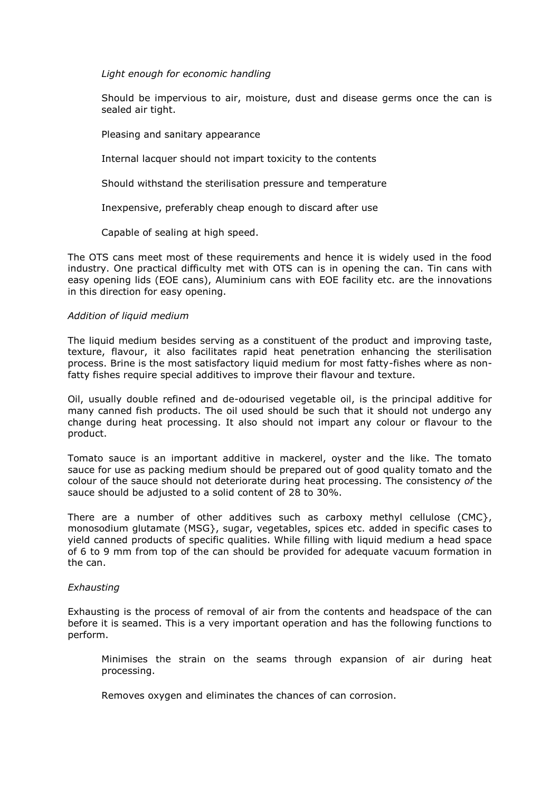## *Light enough for economic handling*

Should be impervious to air, moisture, dust and disease germs once the can is sealed air tight.

Pleasing and sanitary appearance

Internal lacquer should not impart toxicity to the contents

Should withstand the sterilisation pressure and temperature

Inexpensive, preferably cheap enough to discard after use

Capable of sealing at high speed.

The OTS cans meet most of these requirements and hence it is widely used in the food industry. One practical difficulty met with OTS can is in opening the can. Tin cans with easy opening lids (EOE cans), Aluminium cans with EOE facility etc. are the innovations in this direction for easy opening.

### *Addition of liquid medium*

The liquid medium besides serving as a constituent of the product and improving taste, texture, flavour, it also facilitates rapid heat penetration enhancing the sterilisation process. Brine is the most satisfactory liquid medium for most fatty-fishes where as nonfatty fishes require special additives to improve their flavour and texture.

Oil, usually double refined and de-odourised vegetable oil, is the principal additive for many canned fish products. The oil used should be such that it should not undergo any change during heat processing. It also should not impart any colour or flavour to the product.

Tomato sauce is an important additive in mackerel, oyster and the like. The tomato sauce for use as packing medium should be prepared out of good quality tomato and the colour of the sauce should not deteriorate during heat processing. The consistency *of* the sauce should be adjusted to a solid content of 28 to 30%.

There are a number of other additives such as carboxy methyl cellulose (CMC}, monosodium glutamate (MSG}, sugar, vegetables, spices etc. added in specific cases to yield canned products of specific qualities. While filling with liquid medium a head space of 6 to 9 mm from top of the can should be provided for adequate vacuum formation in the can.

## *Exhausting*

Exhausting is the process of removal of air from the contents and headspace of the can before it is seamed. This is a very important operation and has the following functions to perform.

Minimises the strain on the seams through expansion of air during heat processing.

Removes oxygen and eliminates the chances of can corrosion.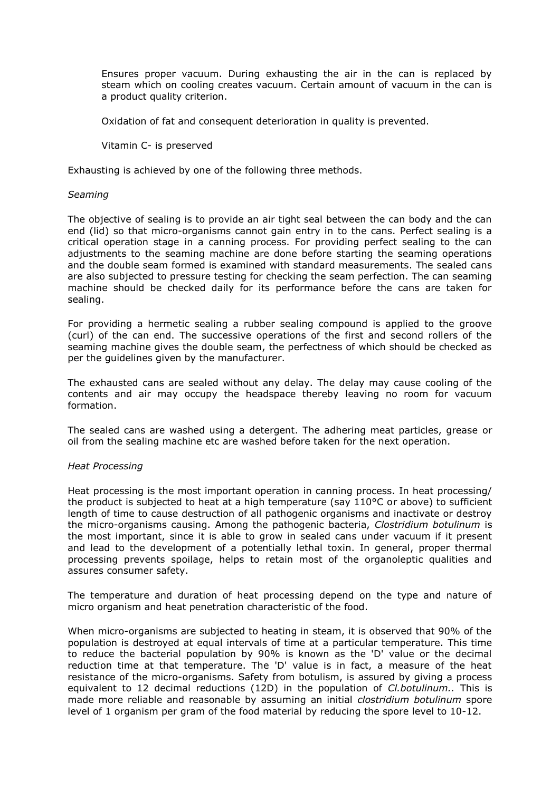Ensures proper vacuum. During exhausting the air in the can is replaced by steam which on cooling creates vacuum. Certain amount of vacuum in the can is a product quality criterion.

Oxidation of fat and consequent deterioration in quality is prevented.

Vitamin C- is preserved

Exhausting is achieved by one of the following three methods.

### *Seaming*

The objective of sealing is to provide an air tight seal between the can body and the can end (lid) so that micro-organisms cannot gain entry in to the cans. Perfect sealing is a critical operation stage in a canning process. For providing perfect sealing to the can adjustments to the seaming machine are done before starting the seaming operations and the double seam formed is examined with standard measurements. The sealed cans are also subjected to pressure testing for checking the seam perfection. The can seaming machine should be checked daily for its performance before the cans are taken for sealing.

For providing a hermetic sealing a rubber sealing compound is applied to the groove (curl) of the can end. The successive operations of the first and second rollers of the seaming machine gives the double seam, the perfectness of which should be checked as per the guidelines given by the manufacturer.

The exhausted cans are sealed without any delay. The delay may cause cooling of the contents and air may occupy the headspace thereby leaving no room for vacuum formation.

The sealed cans are washed using a detergent. The adhering meat particles, grease or oil from the sealing machine etc are washed before taken for the next operation.

#### *Heat Processing*

Heat processing is the most important operation in canning process. In heat processing/ the product is subjected to heat at a high temperature (say  $110^{\circ}$ C or above) to sufficient length of time to cause destruction of all pathogenic organisms and inactivate or destroy the micro-organisms causing. Among the pathogenic bacteria, *Clostridium botulinum* is the most important, since it is able to grow in sealed cans under vacuum if it present and lead to the development of a potentially lethal toxin. In general, proper thermal processing prevents spoilage, helps to retain most of the organoleptic qualities and assures consumer safety.

The temperature and duration of heat processing depend on the type and nature of micro organism and heat penetration characteristic of the food.

When micro-organisms are subjected to heating in steam, it is observed that 90% of the population is destroyed at equal intervals of time at a particular temperature. This time to reduce the bacterial population by 90% is known as the 'D' value or the decimal reduction time at that temperature. The 'D' value is in fact, a measure of the heat resistance of the micro-organisms. Safety from botulism, is assured by giving a process equivalent to 12 decimal reductions (12D) in the population of *Cl.botulinum..* This is made more reliable and reasonable by assuming an initial *clostridium botulinum* spore level of 1 organism per gram of the food material by reducing the spore level to 10-12.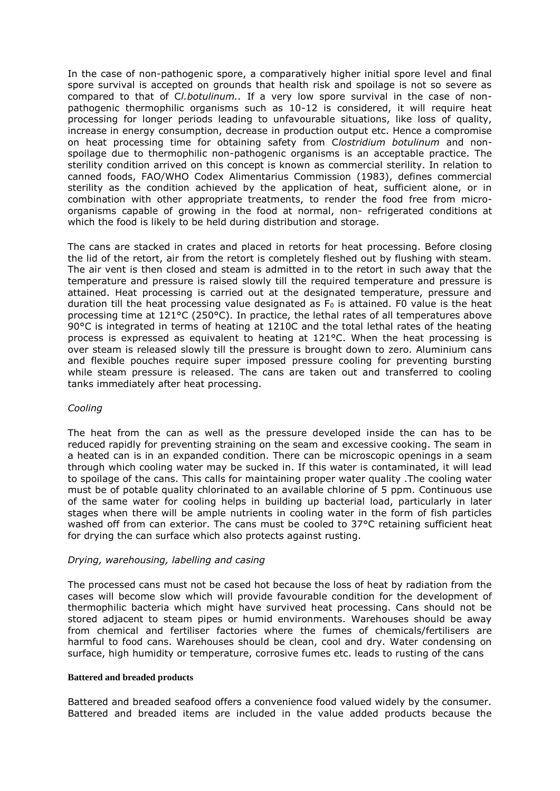In the case of non-pathogenic spore, a comparatively higher initial spore level and final spore survival is accepted on grounds that health risk and spoilage is not so severe as compared to that of C*l.botulinum..* If a very low spore survival in the case of nonpathogenic thermophilic organisms such as 10-12 is considered, it will require heat processing for longer periods leading to unfavourable situations, like loss of quality, increase in energy consumption, decrease in production output etc. Hence a compromise on heat processing time for obtaining safety from C*lostridium botulinum* and nonspoilage due to thermophilic non-pathogenic organisms is an acceptable practice. The sterility condition arrived on this concept is known as commercial sterility. In relation to canned foods, FAO/WHO Codex Alimentarius Commission (1983), defines commercial sterility as the condition achieved by the application of heat, sufficient alone, or in combination with other appropriate treatments, to render the food free from microorganisms capable of growing in the food at normal, non- refrigerated conditions at which the food is likely to be held during distribution and storage.

The cans are stacked in crates and placed in retorts for heat processing. Before closing the lid of the retort, air from the retort is completely fleshed out by flushing with steam. The air vent is then closed and steam is admitted in to the retort in such away that the temperature and pressure is raised slowly till the required temperature and pressure is attained. Heat processing is carried out at the designated temperature, pressure and duration till the heat processing value designated as  $F_0$  is attained. F0 value is the heat processing time at 121°C (250°C). In practice, the lethal rates of all temperatures above 90°C is integrated in terms of heating at 1210C and the total lethal rates of the heating process is expressed as equivalent to heating at 121°C. When the heat processing is over steam is released slowly till the pressure is brought down to zero. Aluminium cans and flexible pouches require super imposed pressure cooling for preventing bursting while steam pressure is released. The cans are taken out and transferred to cooling tanks immediately after heat processing.

## *Cooling*

The heat from the can as well as the pressure developed inside the can has to be reduced rapidly for preventing straining on the seam and excessive cooking. The seam in a heated can is in an expanded condition. There can be microscopic openings in a seam through which cooling water may be sucked in. If this water is contaminated, it will lead to spoilage of the cans. This calls for maintaining proper water quality .The cooling water must be of potable quality chlorinated to an available chlorine of 5 ppm. Continuous use of the same water for cooling helps in building up bacterial load, particularly in later stages when there will be ample nutrients in cooling water in the form of fish particles washed off from can exterior. The cans must be cooled to 37°C retaining sufficient heat for drying the can surface which also protects against rusting.

### *Drying, warehousing, labelling and casing*

The processed cans must not be cased hot because the loss of heat by radiation from the cases will become slow which will provide favourable condition for the development of thermophilic bacteria which might have survived heat processing. Cans should not be stored adjacent to steam pipes or humid environments. Warehouses should be away from chemical and fertiliser factories where the fumes of chemicals/fertilisers are harmful to food cans. Warehouses should be clean, cool and dry. Water condensing on surface, high humidity or temperature, corrosive fumes etc. leads to rusting of the cans

#### **Battered and breaded products**

Battered and breaded seafood offers a convenience food valued widely by the consumer. Battered and breaded items are included in the value added products because the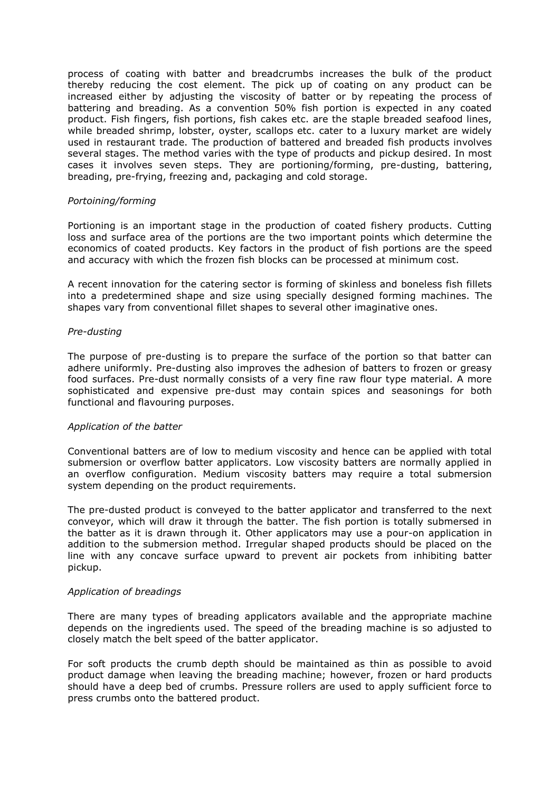process of coating with batter and breadcrumbs increases the bulk of the product thereby reducing the cost element. The pick up of coating on any product can be increased either by adjusting the viscosity of batter or by repeating the process of battering and breading. As a convention 50% fish portion is expected in any coated product. Fish fingers, fish portions, fish cakes etc. are the staple breaded seafood lines, while breaded shrimp, lobster, oyster, scallops etc. cater to a luxury market are widely used in restaurant trade. The production of battered and breaded fish products involves several stages. The method varies with the type of products and pickup desired. In most cases it involves seven steps. They are portioning/forming, pre-dusting, battering, breading, pre-frying, freezing and, packaging and cold storage.

# *Portoining/forming*

Portioning is an important stage in the production of coated fishery products. Cutting loss and surface area of the portions are the two important points which determine the economics of coated products. Key factors in the product of fish portions are the speed and accuracy with which the frozen fish blocks can be processed at minimum cost.

A recent innovation for the catering sector is forming of skinless and boneless fish fillets into a predetermined shape and size using specially designed forming machines. The shapes vary from conventional fillet shapes to several other imaginative ones.

### *Pre-dusting*

The purpose of pre-dusting is to prepare the surface of the portion so that batter can adhere uniformly. Pre-dusting also improves the adhesion of batters to frozen or greasy food surfaces. Pre-dust normally consists of a very fine raw flour type material. A more sophisticated and expensive pre-dust may contain spices and seasonings for both functional and flavouring purposes.

#### *Application of the batter*

Conventional batters are of low to medium viscosity and hence can be applied with total submersion or overflow batter applicators. Low viscosity batters are normally applied in an overflow configuration. Medium viscosity batters may require a total submersion system depending on the product requirements.

The pre-dusted product is conveyed to the batter applicator and transferred to the next conveyor, which will draw it through the batter. The fish portion is totally submersed in the batter as it is drawn through it. Other applicators may use a pour-on application in addition to the submersion method. Irregular shaped products should be placed on the line with any concave surface upward to prevent air pockets from inhibiting batter pickup.

### *Application of breadings*

There are many types of breading applicators available and the appropriate machine depends on the ingredients used. The speed of the breading machine is so adjusted to closely match the belt speed of the batter applicator.

For soft products the crumb depth should be maintained as thin as possible to avoid product damage when leaving the breading machine; however, frozen or hard products should have a deep bed of crumbs. Pressure rollers are used to apply sufficient force to press crumbs onto the battered product.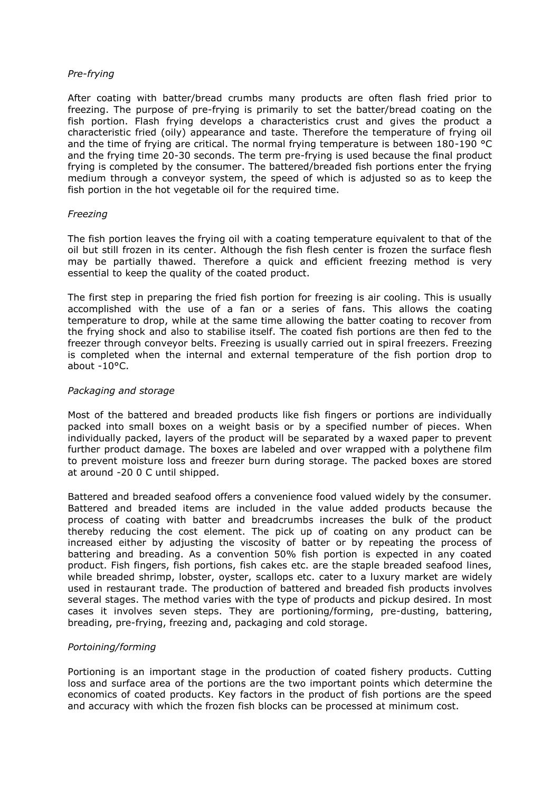### *Pre-frying*

After coating with batter/bread crumbs many products are often flash fried prior to freezing. The purpose of pre-frying is primarily to set the batter/bread coating on the fish portion. Flash frying develops a characteristics crust and gives the product a characteristic fried (oily) appearance and taste. Therefore the temperature of frying oil and the time of frying are critical. The normal frying temperature is between 180-190 °C and the frying time 20-30 seconds. The term pre-frying is used because the final product frying is completed by the consumer. The battered/breaded fish portions enter the frying medium through a conveyor system, the speed of which is adjusted so as to keep the fish portion in the hot vegetable oil for the required time.

## *Freezing*

The fish portion leaves the frying oil with a coating temperature equivalent to that of the oil but still frozen in its center. Although the fish flesh center is frozen the surface flesh may be partially thawed. Therefore a quick and efficient freezing method is very essential to keep the quality of the coated product.

The first step in preparing the fried fish portion for freezing is air cooling. This is usually accomplished with the use of a fan or a series of fans. This allows the coating temperature to drop, while at the same time allowing the batter coating to recover from the frying shock and also to stabilise itself. The coated fish portions are then fed to the freezer through conveyor belts. Freezing is usually carried out in spiral freezers. Freezing is completed when the internal and external temperature of the fish portion drop to about -10°C.

### *Packaging and storage*

Most of the battered and breaded products like fish fingers or portions are individually packed into small boxes on a weight basis or by a specified number of pieces. When individually packed, layers of the product will be separated by a waxed paper to prevent further product damage. The boxes are labeled and over wrapped with a polythene film to prevent moisture loss and freezer burn during storage. The packed boxes are stored at around -20 0 C until shipped.

Battered and breaded seafood offers a convenience food valued widely by the consumer. Battered and breaded items are included in the value added products because the process of coating with batter and breadcrumbs increases the bulk of the product thereby reducing the cost element. The pick up of coating on any product can be increased either by adjusting the viscosity of batter or by repeating the process of battering and breading. As a convention 50% fish portion is expected in any coated product. Fish fingers, fish portions, fish cakes etc. are the staple breaded seafood lines, while breaded shrimp, lobster, oyster, scallops etc. cater to a luxury market are widely used in restaurant trade. The production of battered and breaded fish products involves several stages. The method varies with the type of products and pickup desired. In most cases it involves seven steps. They are portioning/forming, pre-dusting, battering, breading, pre-frying, freezing and, packaging and cold storage.

## *Portoining/forming*

Portioning is an important stage in the production of coated fishery products. Cutting loss and surface area of the portions are the two important points which determine the economics of coated products. Key factors in the product of fish portions are the speed and accuracy with which the frozen fish blocks can be processed at minimum cost.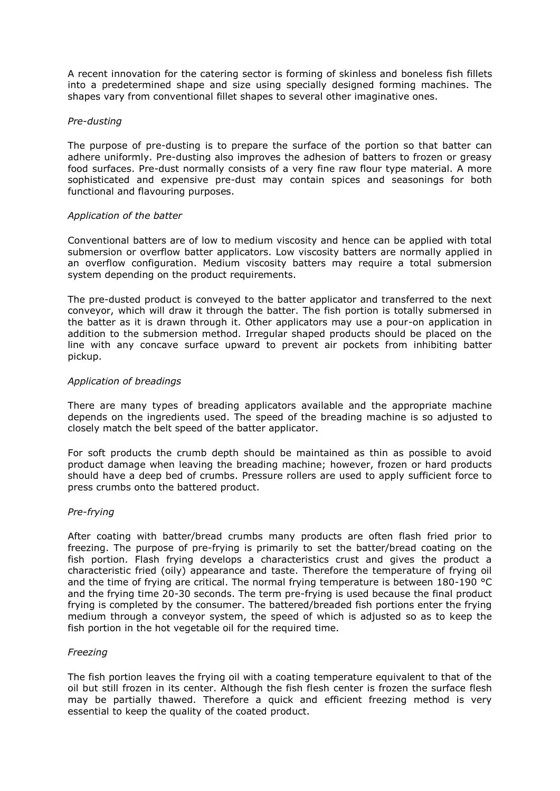A recent innovation for the catering sector is forming of skinless and boneless fish fillets into a predetermined shape and size using specially designed forming machines. The shapes vary from conventional fillet shapes to several other imaginative ones.

### *Pre-dusting*

The purpose of pre-dusting is to prepare the surface of the portion so that batter can adhere uniformly. Pre-dusting also improves the adhesion of batters to frozen or greasy food surfaces. Pre-dust normally consists of a very fine raw flour type material. A more sophisticated and expensive pre-dust may contain spices and seasonings for both functional and flavouring purposes.

### *Application of the batter*

Conventional batters are of low to medium viscosity and hence can be applied with total submersion or overflow batter applicators. Low viscosity batters are normally applied in an overflow configuration. Medium viscosity batters may require a total submersion system depending on the product requirements.

The pre-dusted product is conveyed to the batter applicator and transferred to the next conveyor, which will draw it through the batter. The fish portion is totally submersed in the batter as it is drawn through it. Other applicators may use a pour-on application in addition to the submersion method. Irregular shaped products should be placed on the line with any concave surface upward to prevent air pockets from inhibiting batter pickup.

### *Application of breadings*

There are many types of breading applicators available and the appropriate machine depends on the ingredients used. The speed of the breading machine is so adjusted to closely match the belt speed of the batter applicator.

For soft products the crumb depth should be maintained as thin as possible to avoid product damage when leaving the breading machine; however, frozen or hard products should have a deep bed of crumbs. Pressure rollers are used to apply sufficient force to press crumbs onto the battered product.

## *Pre-frying*

After coating with batter/bread crumbs many products are often flash fried prior to freezing. The purpose of pre-frying is primarily to set the batter/bread coating on the fish portion. Flash frying develops a characteristics crust and gives the product a characteristic fried (oily) appearance and taste. Therefore the temperature of frying oil and the time of frying are critical. The normal frying temperature is between 180-190 °C and the frying time 20-30 seconds. The term pre-frying is used because the final product frying is completed by the consumer. The battered/breaded fish portions enter the frying medium through a conveyor system, the speed of which is adjusted so as to keep the fish portion in the hot vegetable oil for the required time.

## *Freezing*

The fish portion leaves the frying oil with a coating temperature equivalent to that of the oil but still frozen in its center. Although the fish flesh center is frozen the surface flesh may be partially thawed. Therefore a quick and efficient freezing method is very essential to keep the quality of the coated product.